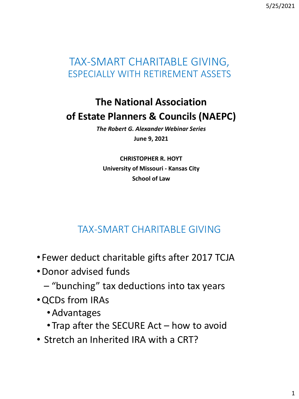5/25/2021

## TAX-SMART CHARITABLE GIVING, ESPECIALLY WITH RETIREMENT ASSETS

# **The National Association of Estate Planners & Councils (NAEPC)**

*The Robert G. Alexander Webinar Series* **June 9, 2021**

**CHRISTOPHER R. HOYT University of Missouri - Kansas City School of Law**

## TAX-SMART CHARITABLE GIVING

- Fewer deduct charitable gifts after 2017 TCJA
- •Donor advised funds
	- "bunching" tax deductions into tax years
- •QCDs from IRAs
	- •Advantages
	- Trap after the SECURE Act how to avoid
- Stretch an Inherited IRA with a CRT?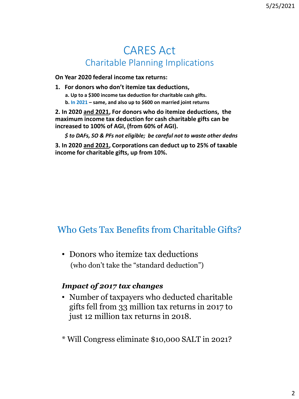### CARES Act Charitable Planning Implications

**On Year 2020 federal income tax returns:**

**1. For donors who don't itemize tax deductions, a. Up to a \$300 income tax deduction for charitable cash gifts. b. In 2021 – same, and also up to \$600 on married joint returns**

**2. In 2020 and 2021, For donors who do itemize deductions, the maximum income tax deduction for cash charitable gifts can be increased to 100% of AGI, (from 60% of AGI).** 

*\$ to DAFs, SO & PFs not eligible; be careful not to waste other dedns*

**3. In 2020 and 2021, Corporations can deduct up to 25% of taxable income for charitable gifts, up from 10%.**

### Who Gets Tax Benefits from Charitable Gifts?

• Donors who itemize tax deductions (who don't take the "standard deduction")

#### *Impact of 2017 tax changes*

- Number of taxpayers who deducted charitable gifts fell from 33 million tax returns in 2017 to just 12 million tax returns in 2018.
- \* Will Congress eliminate \$10,000 SALT in 2021?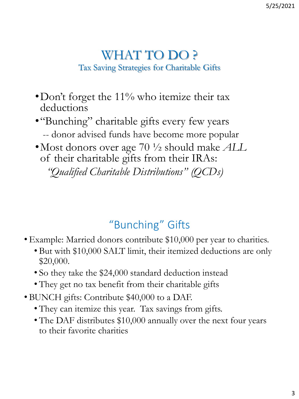## WHAT TO DO ? Tax Saving Strategies for Charitable Gifts

- •Don't forget the 11% who itemize their tax deductions
- •"Bunching" charitable gifts every few years -- donor advised funds have become more popular
- •Most donors over age 70 ½ should make *ALL* of their charitable gifts from their IRAs:

*"Qualified Charitable Distributions" (QCDs)*

# "Bunching" Gifts

- Example: Married donors contribute \$10,000 per year to charities.
	- But with \$10,000 SALT limit, their itemized deductions are only \$20,000.
	- So they take the \$24,000 standard deduction instead
	- They get no tax benefit from their charitable gifts
- BUNCH gifts: Contribute \$40,000 to a DAF.
	- They can itemize this year. Tax savings from gifts.
	- The DAF distributes \$10,000 annually over the next four years to their favorite charities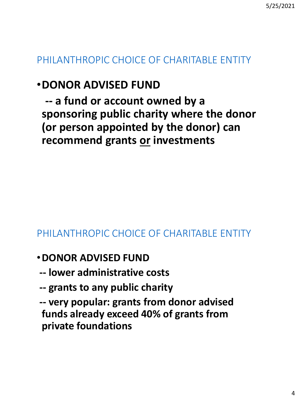## PHILANTHROPIC CHOICE OF CHARITABLE ENTITY

# •**DONOR ADVISED FUND**

**-- a fund or account owned by a sponsoring public charity where the donor (or person appointed by the donor) can recommend grants or investments**

### PHILANTHROPIC CHOICE OF CHARITABLE ENTITY

- •**DONOR ADVISED FUND**
- **-- lower administrative costs**
- **-- grants to any public charity**
- **-- very popular: grants from donor advised funds already exceed 40% of grants from private foundations**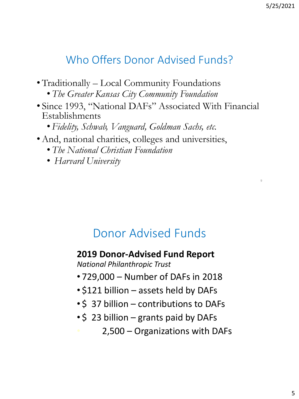9

# Who Offers Donor Advised Funds?

- •Traditionally Local Community Foundations
	- *The Greater Kansas City Community Foundation*
- Since 1993, "National DAFs" Associated With Financial Establishments
	- *Fidelity, Schwab, Vanguard, Goldman Sachs, etc.*
- •And, national charities, colleges and universities,
	- *The National Christian Foundation*
	- *Harvard University*

# Donor Advised Funds

### **2019 Donor-Advised Fund Report**

*National Philanthropic Trust*

- 729,000 Number of DAFs in 2018
- \$121 billion assets held by DAFs
- \$ 37 billion contributions to DAFs
- \$ 23 billion grants paid by DAFs
	- 2,500 Organizations with DAFs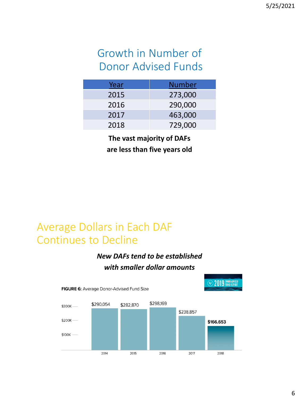# Growth in Number of Donor Advised Funds

| <u>Year</u> | <b>Number</b> |
|-------------|---------------|
| 2015        | 273,000       |
| 2016        | 290,000       |
| 2017        | 463,000       |
| 2018        | 729,000       |

**The vast majority of DAFs are less than five years old**

## Average Dollars in Each DAF Continues to Decline

### *New DAFs tend to be established with smaller dollar amounts*

**CO19** PUND REPORT



FIGURE 6: Average Donor-Advised Fund Size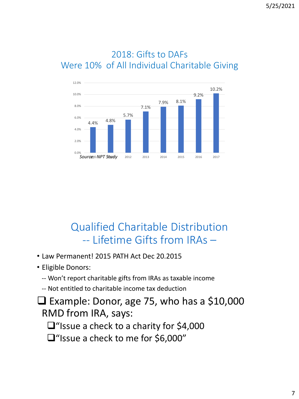

### 2018: Gifts to DAFs Were 10% of All Individual Charitable Giving

# Qualified Charitable Distribution -- Lifetime Gifts from IRAs –

- Law Permanent! 2015 PATH Act Dec 20.2015
- Eligible Donors:
	- -- Won't report charitable gifts from IRAs as taxable income
	- -- Not entitled to charitable income tax deduction
- ❑ Example: Donor, age 75, who has a \$10,000 RMD from IRA, says:
	- ❑"Issue a check to a charity for \$4,000
	- ❑"Issue a check to me for \$6,000"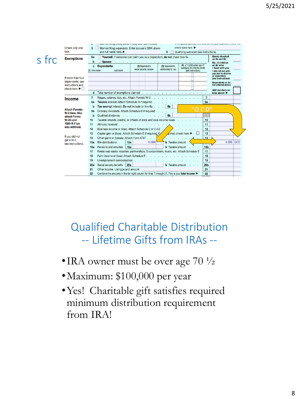

# Qualified Charitable Distribution -- Lifetime Gifts from IRAs --

- •IRA owner must be over age  $70\frac{1}{2}$
- •Maximum: \$100,000 per year
- •Yes! Charitable gift satisfies required minimum distribution requirement from IRA!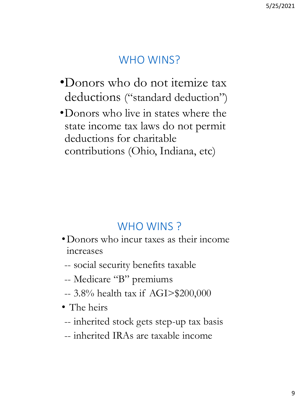# WHO WINS?

- •Donors who do not itemize tax deductions ("standard deduction")
- •Donors who live in states where the state income tax laws do not permit deductions for charitable contributions (Ohio, Indiana, etc)

## WHO WINS?

- •Donors who incur taxes as their income increases
- -- social security benefits taxable
- -- Medicare "B" premiums
- -- 3.8% health tax if AGI>\$200,000
- The heirs
- -- inherited stock gets step-up tax basis
- -- inherited IRAs are taxable income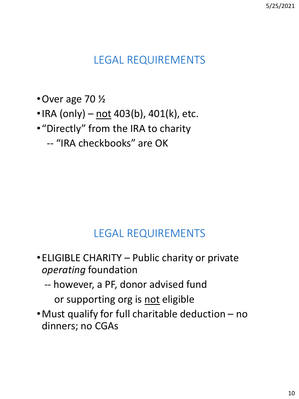# LEGAL REQUIREMENTS

- •Over age 70 ½
- IRA (only) not 403(b), 401(k), etc.
- •"Directly" from the IRA to charity
	- -- "IRA checkbooks" are OK

# LEGAL REQUIREMENTS

- •ELIGIBLE CHARITY Public charity or private *operating* foundation
	- -- however, a PF, donor advised fund or supporting org is not eligible
- •Must qualify for full charitable deduction no dinners; no CGAs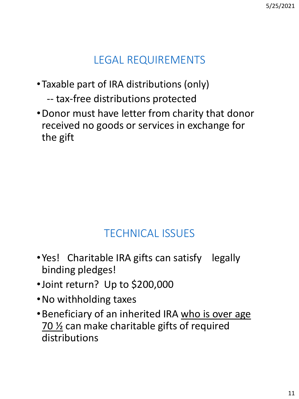# LEGAL REQUIREMENTS

- •Taxable part of IRA distributions (only)
	- -- tax-free distributions protected
- •Donor must have letter from charity that donor received no goods or services in exchange for the gift

# TECHNICAL ISSUES

- •Yes! Charitable IRA gifts can satisfy legally binding pledges!
- •Joint return? Up to \$200,000
- •No withholding taxes
- •Beneficiary of an inherited IRA who is over age  $70\frac{1}{2}$  can make charitable gifts of required distributions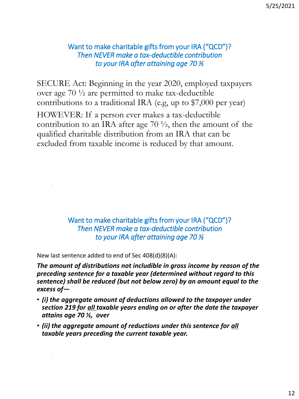#### Want to make charitable gifts from your IRA ("QCD")? *Then NEVER make a tax-deductible contribution to your IRA after attaining age 70 ½*

SECURE Act: Beginning in the year 2020, employed taxpayers over age 70 ½ are permitted to make tax-deductible contributions to a traditional IRA (e.g, up to \$7,000 per year)

HOWEVER: If a person ever makes a tax-deductible contribution to an IRA after age  $70\frac{1}{2}$ , then the amount of the qualified charitable distribution from an IRA that can be excluded from taxable income is reduced by that amount.

> Want to make charitable gifts from your IRA ("QCD")? *Then NEVER make a tax-deductible contribution to your IRA after attaining age 70 ½*

New last sentence added to end of Sec 408(d)(8)(A):

.

.

*The amount of distributions not includible in gross income by reason of the preceding sentence for a taxable year (determined without regard to this sentence) shall be reduced (but not below zero) by an amount equal to the excess of—*

- *(i) the aggregate amount of deductions allowed to the taxpayer under section 219 for all taxable years ending on or after the date the taxpayer attains age 70 ½, over*
- *(ii) the aggregate amount of reductions under this sentence for all taxable years preceding the current taxable year.*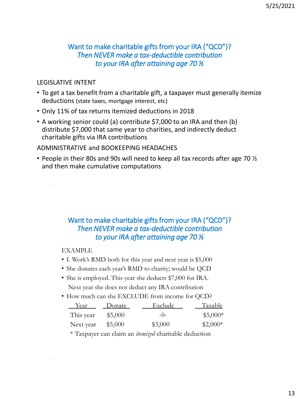#### Want to make charitable gifts from your IRA ("QCD")? *Then NEVER make a tax-deductible contribution to your IRA after attaining age 70 ½*

#### LEGISLATIVE INTENT

.

.

- To get a tax benefit from a charitable gift, a taxpayer must generally itemize deductions (state taxes, mortgage interest, etc)
- Only 11% of tax returns itemized deductions in 2018
- A working senior could (a) contribute \$7,000 to an IRA and then (b) distribute \$7,000 that same year to charities, and indirectly deduct charitable gifts via IRA contributions

#### ADMINISTRATIVE and BOOKEEPING HEADACHES

• People in their 80s and 90s will need to keep all tax records after age 70  $\frac{1}{2}$ and then make cumulative computations

#### Want to make charitable gifts from your IRA ("QCD")? *Then NEVER make a tax-deductible contribution to your IRA after attaining age 70 ½*

EXAMPLE

- I. Work's RMD both for this year and next year is \$5,000
- She donates each year's RMD to charity; would be QCD
- She is employed. This year she deducts \$7,000 for IRA. Next year she does not deduct any IRA contribution
- How much can she EXCLUDE from income for QCD?

| Year      | Donate  | Exclude | Taxable   |
|-----------|---------|---------|-----------|
| This year | \$5,000 | $-()$   | $$5,000*$ |
| Next year | \$5,000 | \$3,000 | $$2,000*$ |

\* Taxpayer can claim an *itemized* charitable deduction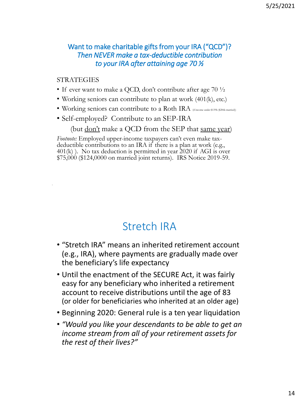#### Want to make charitable gifts from your IRA ("QCD")? *Then NEVER make a tax-deductible contribution to your IRA after attaining age 70 ½*

#### **STRATEGIES**

.

- If ever want to make a QCD, don't contribute after age  $70\frac{1}{2}$
- Working seniors can contribute to plan at work (401(k), etc.)
- Working seniors can contribute to a Roth IRA (if income under \$139k (\$206k married))
- Self-employed? Contribute to an SEP-IRA

(but  $\underline{\text{don't}}$  make a QCD from the SEP that same year)

*Footnote:* Employed upper-income taxpayers can't even make taxdeductible contributions to an IRA if there is a plan at work (e.g., 401(k) ). No tax deduction is permitted in year 2020 if AGI is over \$75,000 (\$124,0000 on married joint returns). IRS Notice 2019-59.

## Stretch IRA

- "Stretch IRA" means an inherited retirement account (e.g., IRA), where payments are gradually made over the beneficiary's life expectancy
- Until the enactment of the SECURE Act, it was fairly easy for any beneficiary who inherited a retirement account to receive distributions until the age of 83 (or older for beneficiaries who inherited at an older age)
- Beginning 2020: General rule is a ten year liquidation
- *"Would you like your descendants to be able to get an income stream from all of your retirement assets for the rest of their lives?"*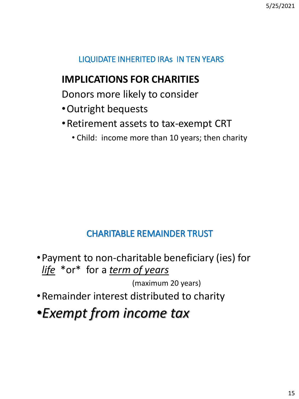### LIQUIDATE INHERITED IRAs IN TEN YEARS

### **IMPLICATIONS FOR CHARITIES**

Donors more likely to consider

- •Outright bequests
- •Retirement assets to tax-exempt CRT
	- Child: income more than 10 years; then charity

### CHARITABLE REMAINDER TRUST

•Payment to non-charitable beneficiary (ies) for *life* \*or\* for a *term of years* 

(maximum 20 years)

- •Remainder interest distributed to charity
- •*Exempt from income tax*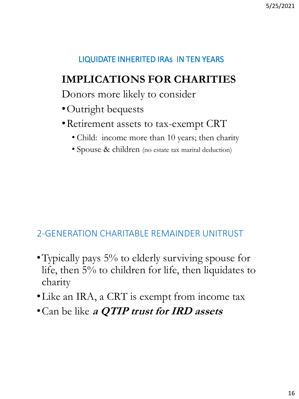### LIQUIDATE INHERITED IRAs IN TEN YEARS

# **IMPLICATIONS FOR CHARITIES**

Donors more likely to consider

- •Outright bequests
- •Retirement assets to tax-exempt CRT
	- Child: income more than 10 years; then charity
	- Spouse & children (no estate tax marital deduction)

### 2-GENERATION CHARITABLE REMAINDER UNITRUST

- Typically pays 5% to elderly surviving spouse for life, then 5% to children for life, then liquidates to charity
- •Like an IRA, a CRT is exempt from income tax
- •Can be like **a QTIP trust for IRD assets**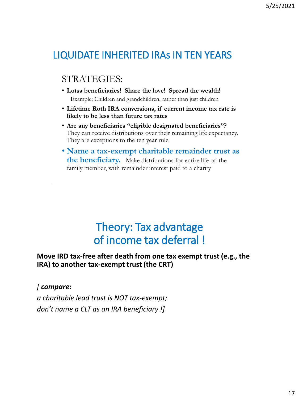## LIQUIDATE INHERITED IRAs IN TEN YEARS

### STRATEGIES:

- **Lotsa beneficiaries! Share the love! Spread the wealth!**  Example: Children and grandchildren, rather than just children
- **Lifetime Roth IRA conversions, if current income tax rate is likely to be less than future tax rates**
- **Are any beneficiaries "eligible designated beneficiaries"?**  They can receive distributions over their remaining life expectancy. They are exceptions to the ten year rule.
- **Name a tax-exempt charitable remainder trust as the beneficiary.** Make distributions for entire life of the family member, with remainder interest paid to a charity

# Theory: Tax advantage of income tax deferral !

#### **Move IRD tax-free after death from one tax exempt trust (e.g., the IRA) to another tax-exempt trust (the CRT)**

*[ compare:* 

.

*a charitable lead trust is NOT tax-exempt; don't name a CLT as an IRA beneficiary !]*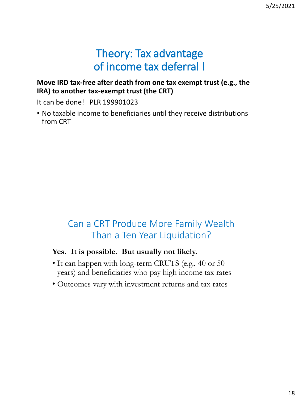# Theory: Tax advantage of income tax deferral !

#### **Move IRD tax-free after death from one tax exempt trust (e.g., the IRA) to another tax-exempt trust (the CRT)**

It can be done! PLR 199901023

• No taxable income to beneficiaries until they receive distributions from CRT

### Can a CRT Produce More Family Wealth Than a Ten Year Liquidation?

#### **Yes. It is possible. But usually not likely.**

- It can happen with long-term CRUTS (e.g., 40 or 50 years) and beneficiaries who pay high income tax rates
- Outcomes vary with investment returns and tax rates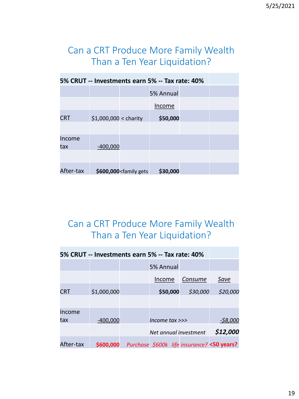### Can a CRT Produce More Family Wealth Than a Ten Year Liquidation?

| 5% CRUT -- Investments earn 5% -- Tax rate: 40% |                        |                                                                               |           |  |  |
|-------------------------------------------------|------------------------|-------------------------------------------------------------------------------|-----------|--|--|
|                                                 |                        |                                                                               | 5% Annual |  |  |
|                                                 |                        |                                                                               | Income    |  |  |
| <b>CRT</b>                                      | $$1,000,000 <$ charity |                                                                               | \$50,000  |  |  |
|                                                 |                        |                                                                               |           |  |  |
| Income                                          |                        |                                                                               |           |  |  |
| tax                                             | $-400,000$             |                                                                               |           |  |  |
|                                                 |                        |                                                                               |           |  |  |
| After-tax                                       |                        | \$600,000 <family gets<="" td=""><td>\$30,000</td><td></td><td></td></family> | \$30,000  |  |  |

### Can a CRT Produce More Family Wealth Than a Ten Year Liquidation?

| 5% CRUT -- Investments earn 5% -- Tax rate: 40% |             |                       |          |                                            |
|-------------------------------------------------|-------------|-----------------------|----------|--------------------------------------------|
|                                                 |             | 5% Annual             |          |                                            |
|                                                 |             | Income                | Consume  | Save                                       |
| <b>CRT</b>                                      | \$1,000,000 | \$50,000              | \$30,000 | \$20,000                                   |
|                                                 |             |                       |          |                                            |
| Income                                          |             |                       |          |                                            |
| tax                                             | $-400,000$  | Income $tax \gg$      |          | -\$8,000                                   |
|                                                 |             | Net annual investment |          | \$12,000                                   |
| After-tax                                       | \$600,000   |                       |          | Purchase \$600k life insurance? <50 years? |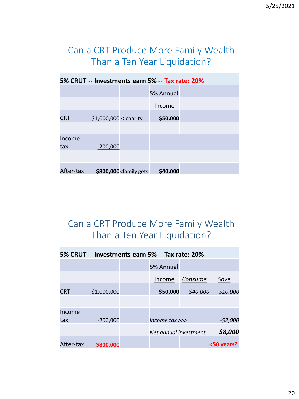### Can a CRT Produce More Family Wealth Than a Ten Year Liquidation?

| 5% CRUT -- Investments earn 5% -- Tax rate: 20% |                        |                                                                               |           |  |  |
|-------------------------------------------------|------------------------|-------------------------------------------------------------------------------|-----------|--|--|
|                                                 |                        |                                                                               | 5% Annual |  |  |
|                                                 |                        |                                                                               | Income    |  |  |
| <b>CRT</b>                                      | $$1,000,000 <$ charity |                                                                               | \$50,000  |  |  |
|                                                 |                        |                                                                               |           |  |  |
| Income                                          |                        |                                                                               |           |  |  |
| tax                                             | $-200,000$             |                                                                               |           |  |  |
|                                                 |                        |                                                                               |           |  |  |
| After-tax                                       |                        | \$800,000 <family gets<="" td=""><td>\$40,000</td><td></td><td></td></family> | \$40,000  |  |  |

### Can a CRT Produce More Family Wealth Than a Ten Year Liquidation?

| 5% CRUT -- Investments earn 5% -- Tax rate: 20% |             |  |                       |          |            |
|-------------------------------------------------|-------------|--|-----------------------|----------|------------|
|                                                 |             |  | 5% Annual             |          |            |
|                                                 |             |  | Income                | Consume  | Save       |
| <b>CRT</b>                                      | \$1,000,000 |  | \$50,000              | \$40,000 | \$10,000   |
|                                                 |             |  |                       |          |            |
| Income                                          |             |  |                       |          |            |
| tax                                             | $-200,000$  |  | Income $tax \gg$      |          | -\$2,000   |
|                                                 |             |  | Net annual investment |          | \$8,000    |
| After-tax                                       | \$800,000   |  |                       |          | <50 years? |